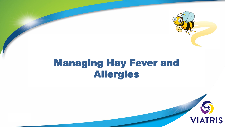

# Managing Hay Fever and Allergies

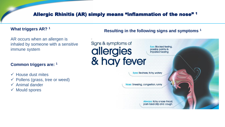## Allergic Rhinitis (AR) simply means "inflammation of the nose" 1

#### **What triggers AR? <sup>1</sup>**

AR occurs when an allergen is inhaled by someone with a sensitive immune system

#### **Common triggers are: <sup>1</sup>**

- $\checkmark$  House dust mites
- $\checkmark$  Pollens (grass, tree or weed)
- $\checkmark$  Animal dander
- $\checkmark$  Mould spores

#### **Resulting in the following signs and symptoms 1**

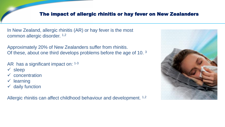# The impact of allergic rhinitis or hay fever on New Zealanders

In New Zealand, allergic rhinitis (AR) or hay fever is the most common allergic disorder. 1,2

Approximately 20% of New Zealanders suffer from rhinitis. Of these, about one third develops problems before the age of 10. <sup>3</sup>

- AR has a significant impact on: 1-3
- $\checkmark$  sleep
- concentration
- learning
- $\checkmark$  daily function

Allergic rhinitis can affect childhood behaviour and development. <sup>1,2</sup>

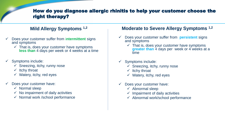## How do you diagnose allergic rhinitis to help your customer choose the right therapy?

## **Mild Allergy Symptoms 1,2**

- Does your customer suffer from i**ntermittent** signs and symptoms
	- $\checkmark$  That is, does your customer have symptoms **less than** 4 days per week or 4 weeks at a time
- Symptoms include:
	- $\checkmark$  Sneezing, itchy, runny nose
	- $\checkmark$  Itchy throat
	- $\checkmark$  Watery, itchy, red eyes
- Does your customer have:
	- $\checkmark$  Normal sleep
	- $\checkmark$  No impairment of daily activities
	- $\checkmark$  Normal work /school performance

#### **Moderate to Severe Allergy Symptoms 1,2**

- Does your customer suffer from **persistent** signs and symptoms
	- $\checkmark$  That is, does your customer have symptoms **greater than** 4 days per week or 4 weeks at a time

#### $\checkmark$  Symptoms include:

- $\checkmark$  Sneezing, itchy, runny nose
- $\checkmark$  Itchy throat
- $\checkmark$  Watery, itchy, red eyes
- $\checkmark$  Does your customer have:
	- $\checkmark$  Abnormal sleep
	- $\checkmark$  Impairment of daily activities
	- $\checkmark$  Abnormal work/school performance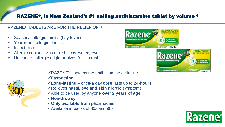# RAZENE®, is New Zealand's #1 selling antihistamine tablet by volume <sup>4</sup>

#### RAZENE® TABLETS ARE FOR THE RELIEF OF: <sup>5</sup>

- Seasonal allergic rhinitis (hay fever)
- Year-round allergic rhinitis
- $\checkmark$  Insect bites
- $\checkmark$  Allergic conjunctivitis or red, itchy, watery eyes
- $\checkmark$  Urticaria of allergic origin or hives (a skin rash)





 $\sqrt{R}$ RAZENE<sup>®</sup> contains the antihistamine cetirizine

- **Fast-acting**
- **Long-lasting** once-a day dose lasts up to **24-hours**
- Relieves **nasal, eye and skin** allergic symptoms
- Able to be used by anyone **over 2 years of age**
- **Non-drowsy**
- **Only available from pharmacies**
- $\checkmark$  Available in packs of 30s and 90s

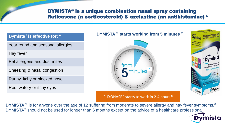# DYMISTA® is a unique combination nasal spray containing fluticasone (a corticosteroid) & azelastine (an antihistamine) <sup>6</sup>

**Dymista® is effective for: <sup>6</sup>**

Year round and seasonal allergies

Hay fever

Pet allergens and dust mites

Sneezing & nasal congestion

Runny, itchy or blocked nose

Red, watery or itchy eyes



**Mylan** 

#### FLIXONASE<sup>®</sup> starts to work in 2-4 hours<sup>8</sup>

**DYMISTA** <sup>®</sup> is for anyone over the age of 12 suffering from moderate to severe allergy and hay fever symptoms.<sup>6</sup> DYMISTA® should not be used for longer than 6 months except on the advice of a healthcare professional.

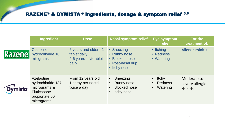# RAZENE® & DYMISTA ® ingredients, dosage & symptom relief 5,6

|                            | <b>Ingredient</b>                                                                                    | Dose                                                                               | <b>Nasal symptom relief</b>                                                       | Eye symptom<br>relief                      | For the<br>treatment of:                   |
|----------------------------|------------------------------------------------------------------------------------------------------|------------------------------------------------------------------------------------|-----------------------------------------------------------------------------------|--------------------------------------------|--------------------------------------------|
| <b>Razene</b> <sup>®</sup> | <b>Cetirizine</b><br>hydrochloride 10<br>milligrams                                                  | 6 years and older - 1<br>tablet daily<br>2-6 years - $\frac{1}{2}$ tablet<br>daily | • Sneezing<br>• Runny nose<br>• Blocked nose<br>• Post-nasal drip<br>• Itchy nose | • Itching<br>• Redness<br>• Watering       | Allergic rhinitis                          |
| <b>Dymista</b>             | Azelastine<br>hydrochloride 137<br>micrograms &<br><b>Fluticasone</b><br>propionate 50<br>micrograms | From 12 years old<br>1 spray per nostril<br>twice a day                            | Sneezing<br><b>Runny nose</b><br>$\bullet$<br><b>Blocked nose</b><br>Itchy nose   | <b>Itchy</b><br><b>Redness</b><br>Watering | Moderate to<br>severe allergic<br>rhinitis |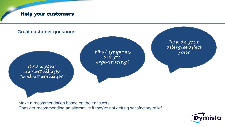# Help your customers

# **Great customer questions** *How is your current allergy product working? What symptoms are you experiencing? How do your allergies affect you?*

Make a recommendation based on their answers. Consider recommending an alternative if they're not getting satisfactory relief.

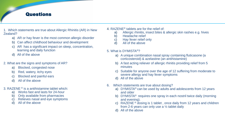# **Questions**

- 1. Which statements are true about Allergic Rhinitis (AR) in New Zealand?
	- a) AR or hay fever is the most common allergic disorder
	- b) Can affect childhood behaviour and development
	- c) AR has a significant impact on sleep, concentration, learning and daily function
	- d) All of the above
- 2. What are the signs and symptoms of AR?
	- a) Blocked, congested nose
	- b) Red, watery, itchy eyes
	- c) Blocked and painful ears
	- d) All of the above
- 3. RAZENE ® is a antihistamine tablet which:
	- a) Works fast and lasts for 24-hour
	- b) Only available from pharmacies
	- c) Relieves nasal and eye symptoms
	- d) All of the above
- 4. RAZENE® tablets are for the relief of:
	- a) Allergic rhinitis, insect bites & allergic skin rashes e.g. hives
	- b) Headache relief
	- c) Hay fever relief only
	- d) All of the above

#### 5. What is DYMISTA®?

- a) A unique combination nasal spray containing fluticasone (a corticosteroid) & azelastine (an antihistamine)
- b) A fast acting reliever of allergic rhinitis providing relief from 5 minutes
- c) Suitable for anyone over the age of 12 suffering from moderate to severe allergy and hay fever symptoms
- d) All of the above
- 6. Which statements are true about dosing?
	- a) DYMISTA® can be used by adults and adolescents from 12 years and older
	- b) DYMISTA® requires one spray in each nostril twice daily (morning and evening).
	- c) RAZENE ® dosing is 1 tablet , once daily from 12 years and children from 2-6 years can only use a ½ tablet daily
	- d) All of the above